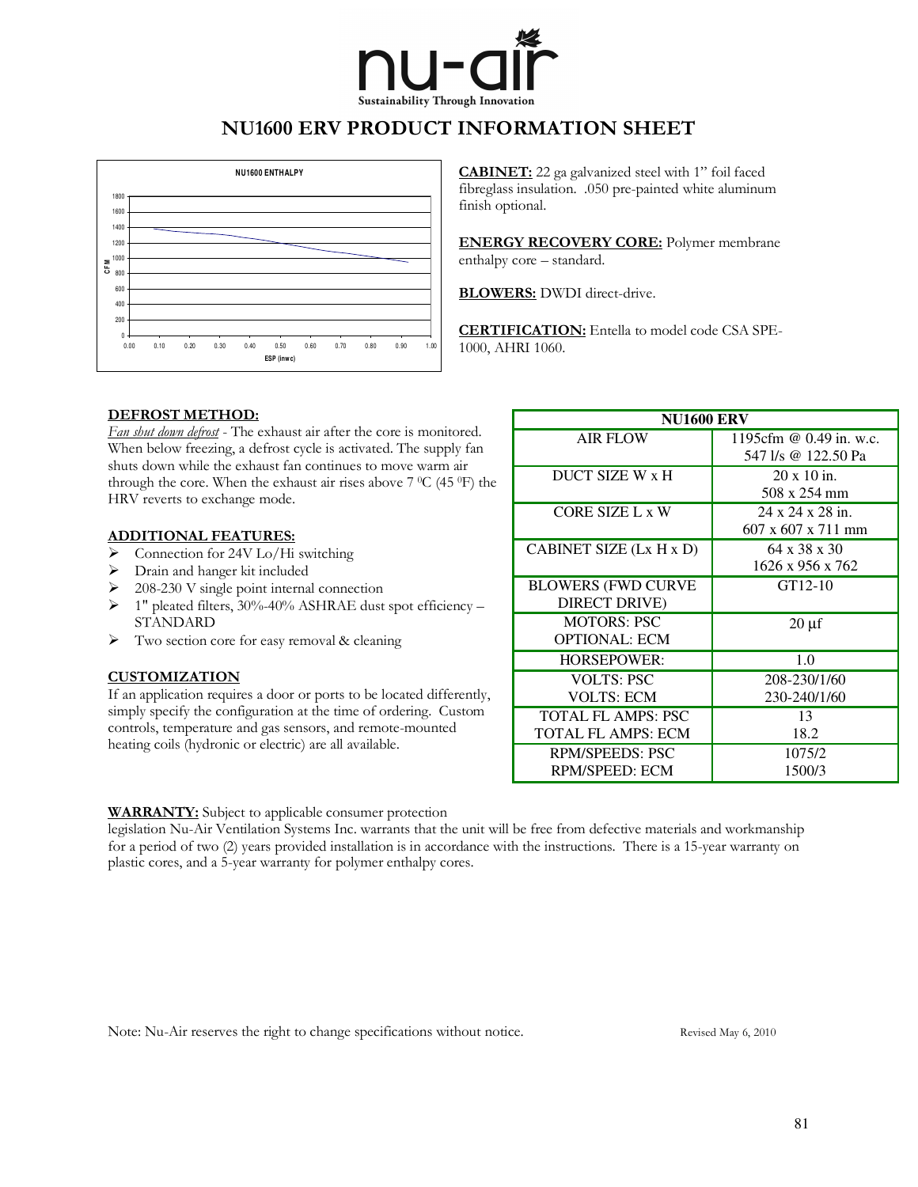

### NU1600 ERV PRODUCT INFORMATION SHEET



CABINET: 22 ga galvanized steel with 1" foil faced fibreglass insulation. .050 pre-painted white aluminum finish optional.

**ENERGY RECOVERY CORE:** Polymer membrane enthalpy core – standard.

BLOWERS: DWDI direct-drive.

CERTIFICATION: Entella to model code CSA SPE-1000, AHRI 1060.

#### DEFROST METHOD:

Fan shut down defrost - The exhaust air after the core is monitored. When below freezing, a defrost cycle is activated. The supply fan shuts down while the exhaust fan continues to move warm air through the core. When the exhaust air rises above  $7\,^{\circ}C$  (45  $^{\circ}F$ ) the HRV reverts to exchange mode.

#### ADDITIONAL FEATURES:

- $\sum_{n=1}^{\infty}$  Connection for 24V Lo/Hi switching
- ! Drain and hanger kit included
- $\geq$  208-230 V single point internal connection
- $\geq 1$ " pleated filters, 30%-40% ASHRAE dust spot efficiency STANDARD
- $\triangleright$  Two section core for easy removal & cleaning

#### **CUSTOMIZATION**

If an application requires a door or ports to be located differently, simply specify the configuration at the time of ordering. Custom controls, temperature and gas sensors, and remote-mounted heating coils (hydronic or electric) are all available.

| <b>NU1600 ERV</b>                                      |                                                    |  |  |  |
|--------------------------------------------------------|----------------------------------------------------|--|--|--|
| <b>AIR FLOW</b>                                        | 1195cfm @ 0.49 in. w.c.<br>547 l/s @ 122.50 Pa     |  |  |  |
| DUCT SIZE W x H                                        | $20 \times 10$ in.<br>508 x 254 mm                 |  |  |  |
| CORE SIZE L x W                                        | 24 x 24 x 28 in.<br>$607 \times 607 \times 711$ mm |  |  |  |
| CABINET SIZE (Lx H x D)                                | $64 \times 38 \times 30$<br>1626 x 956 x 762       |  |  |  |
| <b>BLOWERS (FWD CURVE)</b><br>DIRECT DRIVE)            | GT12-10                                            |  |  |  |
| <b>MOTORS: PSC</b><br><b>OPTIONAL: ECM</b>             | $20 \mu f$                                         |  |  |  |
| <b>HORSEPOWER:</b>                                     | 1.0                                                |  |  |  |
| <b>VOLTS: PSC</b><br><b>VOLTS: ECM</b>                 | 208-230/1/60<br>230-240/1/60                       |  |  |  |
| <b>TOTAL FL AMPS: PSC</b><br><b>TOTAL FL AMPS: ECM</b> | 13<br>18.2                                         |  |  |  |
| <b>RPM/SPEEDS: PSC</b><br>RPM/SPEED: ECM               | 1075/2<br>1500/3                                   |  |  |  |

#### WARRANTY: Subject to applicable consumer protection

legislation Nu-Air Ventilation Systems Inc. warrants that the unit will be free from defective materials and workmanship for a period of two (2) years provided installation is in accordance with the instructions. There is a 15-year warranty on plastic cores, and a 5-year warranty for polymer enthalpy cores.

Note: Nu-Air reserves the right to change specifications without notice. Revised May 6, 2010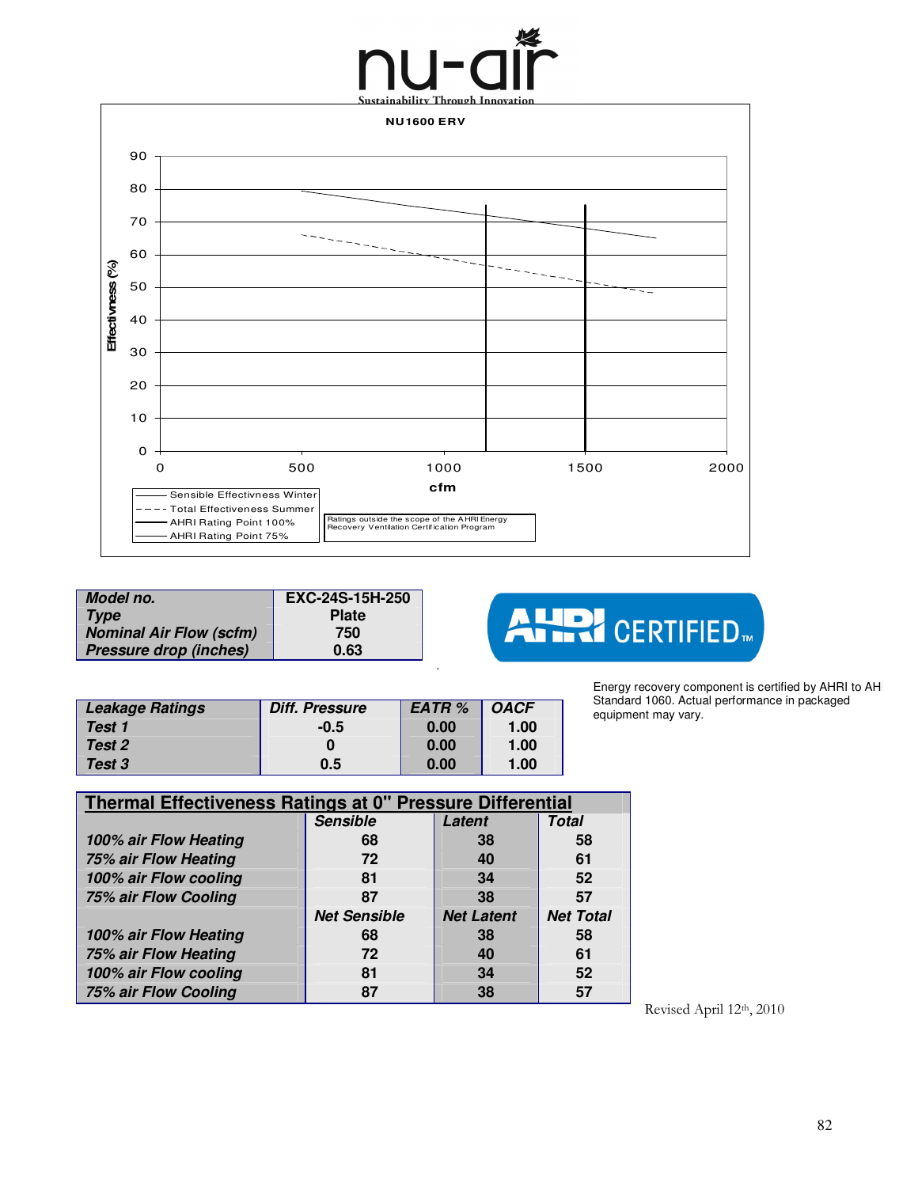# Sustainability Through Innovation



.

| Model no.                      | EXC-24S-15H-250 |
|--------------------------------|-----------------|
| <b>Type</b>                    | <b>Plate</b>    |
| <b>Nominal Air Flow (scfm)</b> | 750             |
| <b>Pressure drop (inches)</b>  | 0.63            |

## AUDI CERTIFIED.

| Energy recovery component is certified by AHRI to AH |
|------------------------------------------------------|
| Standard 1060. Actual performance in packaged        |
| equipment may vary.                                  |

| <b>Leakage Ratings</b> | <b>Diff. Pressure</b> | <b>EATR %</b> | <b>OACF</b> |
|------------------------|-----------------------|---------------|-------------|
| Test 1                 | $-0.5$                | 0.00          | 1.00        |
| Test 2                 |                       | 0.00          | 1.00        |
| Test 3                 | 0.5                   | 0.00          | 1.00        |

| Thermal Effectiveness Ratings at 0" Pressure Differential |                     |                   |                  |  |  |
|-----------------------------------------------------------|---------------------|-------------------|------------------|--|--|
|                                                           | <b>Sensible</b>     | Latent            | <b>Total</b>     |  |  |
| 100% air Flow Heating                                     | 68                  | 38                | 58               |  |  |
| 75% air Flow Heating                                      | 72                  | 40                | 61               |  |  |
| 100% air Flow cooling                                     | 81                  | 34                | 52               |  |  |
| 75% air Flow Cooling                                      | 87                  | 38                | 57               |  |  |
|                                                           | <b>Net Sensible</b> | <b>Net Latent</b> | <b>Net Total</b> |  |  |
| 100% air Flow Heating                                     | 68                  | 38                | 58               |  |  |
| 75% air Flow Heating                                      | 72                  | 40                | 61               |  |  |
| 100% air Flow cooling                                     | 81                  | 34                | 52               |  |  |
| 75% air Flow Cooling                                      | 87                  | 38                | 57               |  |  |
|                                                           |                     |                   |                  |  |  |

Revised April 12th, 2010